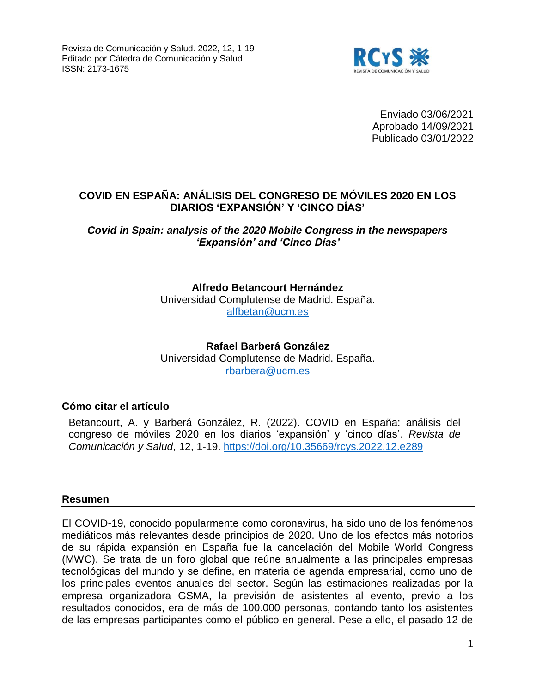

Enviado 03/06/2021 Aprobado 14/09/2021 Publicado 03/01/2022

## **COVID EN ESPAÑA: ANÁLISIS DEL CONGRESO DE MÓVILES 2020 EN LOS DIARIOS 'EXPANSIÓN' Y 'CINCO DÍAS'**

*Covid in Spain: analysis of the 2020 Mobile Congress in the newspapers 'Expansión' and 'Cinco Días'*

> **Alfredo Betancourt Hernández** Universidad Complutense de Madrid. España. [alfbetan@ucm.es](mailto:alfbetan@ucm.es)

> **Rafael Barberá González** Universidad Complutense de Madrid. España. [rbarbera@ucm.es](mailto:rbarbera@ucm.es)

#### **Cómo citar el artículo**

Betancourt, A. y Barberá González, R. (2022). COVID en España: análisis del congreso de móviles 2020 en los diarios 'expansión' y 'cinco días'. *Revista de Comunicación y Salud*, 12, 1-19.<https://doi.org/10.35669/rcys.2022.12.e289>

#### **Resumen**

El COVID-19, conocido popularmente como coronavirus, ha sido uno de los fenómenos mediáticos más relevantes desde principios de 2020. Uno de los efectos más notorios de su rápida expansión en España fue la cancelación del Mobile World Congress (MWC). Se trata de un foro global que reúne anualmente a las principales empresas tecnológicas del mundo y se define, en materia de agenda empresarial, como uno de los principales eventos anuales del sector. Según las estimaciones realizadas por la empresa organizadora GSMA, la previsión de asistentes al evento, previo a los resultados conocidos, era de más de 100.000 personas, contando tanto los asistentes de las empresas participantes como el público en general. Pese a ello, el pasado 12 de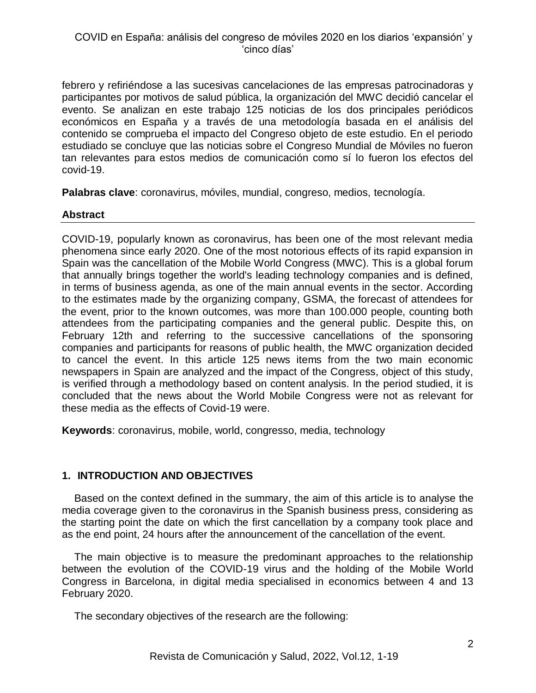febrero y refiriéndose a las sucesivas cancelaciones de las empresas patrocinadoras y participantes por motivos de salud pública, la organización del MWC decidió cancelar el evento. Se analizan en este trabajo 125 noticias de los dos principales periódicos económicos en España y a través de una metodología basada en el análisis del contenido se comprueba el impacto del Congreso objeto de este estudio. En el periodo estudiado se concluye que las noticias sobre el Congreso Mundial de Móviles no fueron tan relevantes para estos medios de comunicación como sí lo fueron los efectos del covid-19.

**Palabras clave**: coronavirus, móviles, mundial, congreso, medios, tecnología.

## **Abstract**

COVID-19, popularly known as coronavirus, has been one of the most relevant media phenomena since early 2020. One of the most notorious effects of its rapid expansion in Spain was the cancellation of the Mobile World Congress (MWC). This is a global forum that annually brings together the world's leading technology companies and is defined, in terms of business agenda, as one of the main annual events in the sector. According to the estimates made by the organizing company, GSMA, the forecast of attendees for the event, prior to the known outcomes, was more than 100.000 people, counting both attendees from the participating companies and the general public. Despite this, on February 12th and referring to the successive cancellations of the sponsoring companies and participants for reasons of public health, the MWC organization decided to cancel the event. In this article 125 news items from the two main economic newspapers in Spain are analyzed and the impact of the Congress, object of this study, is verified through a methodology based on content analysis. In the period studied, it is concluded that the news about the World Mobile Congress were not as relevant for these media as the effects of Covid-19 were.

**Keywords**: coronavirus, mobile, world, congresso, media, technology

# **1. INTRODUCTION AND OBJECTIVES**

Based on the context defined in the summary, the aim of this article is to analyse the media coverage given to the coronavirus in the Spanish business press, considering as the starting point the date on which the first cancellation by a company took place and as the end point, 24 hours after the announcement of the cancellation of the event.

The main objective is to measure the predominant approaches to the relationship between the evolution of the COVID-19 virus and the holding of the Mobile World Congress in Barcelona, in digital media specialised in economics between 4 and 13 February 2020.

The secondary objectives of the research are the following: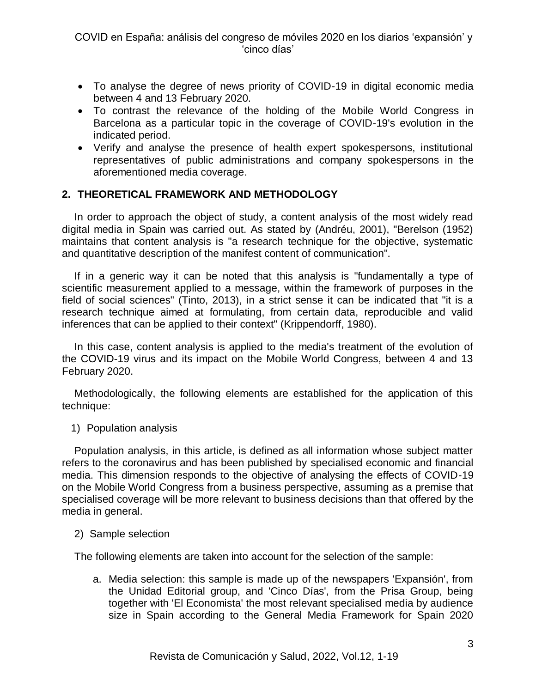- To analyse the degree of news priority of COVID-19 in digital economic media between 4 and 13 February 2020.
- To contrast the relevance of the holding of the Mobile World Congress in Barcelona as a particular topic in the coverage of COVID-19's evolution in the indicated period.
- Verify and analyse the presence of health expert spokespersons, institutional representatives of public administrations and company spokespersons in the aforementioned media coverage.

# **2. THEORETICAL FRAMEWORK AND METHODOLOGY**

In order to approach the object of study, a content analysis of the most widely read digital media in Spain was carried out. As stated by (Andréu, 2001), "Berelson (1952) maintains that content analysis is "a research technique for the objective, systematic and quantitative description of the manifest content of communication".

If in a generic way it can be noted that this analysis is "fundamentally a type of scientific measurement applied to a message, within the framework of purposes in the field of social sciences" (Tinto, 2013), in a strict sense it can be indicated that "it is a research technique aimed at formulating, from certain data, reproducible and valid inferences that can be applied to their context" (Krippendorff, 1980).

In this case, content analysis is applied to the media's treatment of the evolution of the COVID-19 virus and its impact on the Mobile World Congress, between 4 and 13 February 2020.

Methodologically, the following elements are established for the application of this technique:

1) Population analysis

Population analysis, in this article, is defined as all information whose subject matter refers to the coronavirus and has been published by specialised economic and financial media. This dimension responds to the objective of analysing the effects of COVID-19 on the Mobile World Congress from a business perspective, assuming as a premise that specialised coverage will be more relevant to business decisions than that offered by the media in general.

#### 2) Sample selection

The following elements are taken into account for the selection of the sample:

a. Media selection: this sample is made up of the newspapers 'Expansión', from the Unidad Editorial group, and 'Cinco Días', from the Prisa Group, being together with 'El Economista' the most relevant specialised media by audience size in Spain according to the General Media Framework for Spain 2020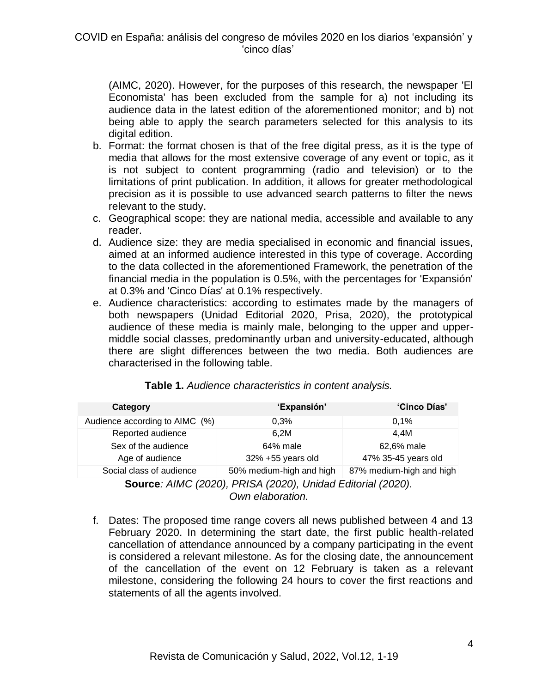(AIMC, 2020). However, for the purposes of this research, the newspaper 'El Economista' has been excluded from the sample for a) not including its audience data in the latest edition of the aforementioned monitor; and b) not being able to apply the search parameters selected for this analysis to its digital edition.

- b. Format: the format chosen is that of the free digital press, as it is the type of media that allows for the most extensive coverage of any event or topic, as it is not subject to content programming (radio and television) or to the limitations of print publication. In addition, it allows for greater methodological precision as it is possible to use advanced search patterns to filter the news relevant to the study.
- c. Geographical scope: they are national media, accessible and available to any reader.
- d. Audience size: they are media specialised in economic and financial issues, aimed at an informed audience interested in this type of coverage. According to the data collected in the aforementioned Framework, the penetration of the financial media in the population is 0.5%, with the percentages for 'Expansión' at 0.3% and 'Cinco Días' at 0.1% respectively.
- e. Audience characteristics: according to estimates made by the managers of both newspapers (Unidad Editorial 2020, Prisa, 2020), the prototypical audience of these media is mainly male, belonging to the upper and uppermiddle social classes, predominantly urban and university-educated, although there are slight differences between the two media. Both audiences are characterised in the following table.

| Category                                                    | 'Expansión'              | 'Cinco Días'             |  |  |  |
|-------------------------------------------------------------|--------------------------|--------------------------|--|--|--|
| Audience according to AIMC (%)                              | 0.3%                     | 0.1%                     |  |  |  |
| Reported audience                                           | 6,2M                     | 4.4M                     |  |  |  |
| Sex of the audience                                         | 64% male                 | 62,6% male               |  |  |  |
| Age of audience                                             | 32% +55 years old        | 47% 35-45 years old      |  |  |  |
| Social class of audience                                    | 50% medium-high and high | 87% medium-high and high |  |  |  |
| Source: AIMC (2020), PRISA (2020), Unidad Editorial (2020). |                          |                          |  |  |  |

#### **Table 1.** *Audience characteristics in content analysis.*

*Own elaboration.*

f. Dates: The proposed time range covers all news published between 4 and 13 February 2020. In determining the start date, the first public health-related cancellation of attendance announced by a company participating in the event is considered a relevant milestone. As for the closing date, the announcement of the cancellation of the event on 12 February is taken as a relevant milestone, considering the following 24 hours to cover the first reactions and statements of all the agents involved.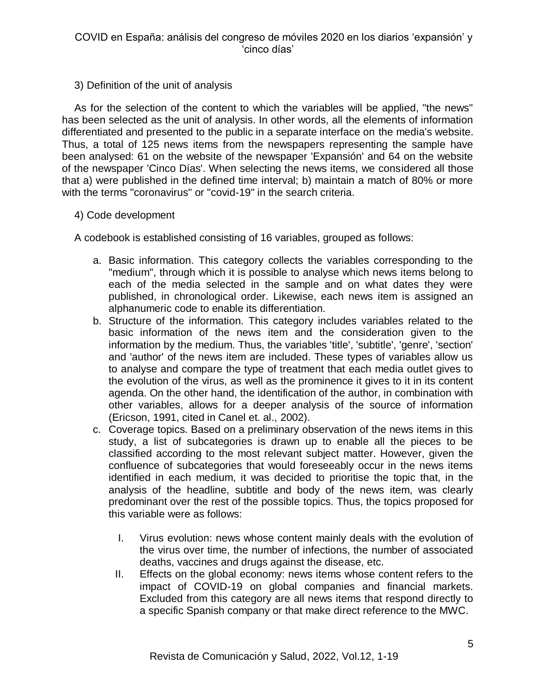## 3) Definition of the unit of analysis

As for the selection of the content to which the variables will be applied, "the news" has been selected as the unit of analysis. In other words, all the elements of information differentiated and presented to the public in a separate interface on the media's website. Thus, a total of 125 news items from the newspapers representing the sample have been analysed: 61 on the website of the newspaper 'Expansión' and 64 on the website of the newspaper 'Cinco Días'. When selecting the news items, we considered all those that a) were published in the defined time interval; b) maintain a match of 80% or more with the terms "coronavirus" or "covid-19" in the search criteria.

## 4) Code development

A codebook is established consisting of 16 variables, grouped as follows:

- a. Basic information. This category collects the variables corresponding to the "medium", through which it is possible to analyse which news items belong to each of the media selected in the sample and on what dates they were published, in chronological order. Likewise, each news item is assigned an alphanumeric code to enable its differentiation.
- b. Structure of the information. This category includes variables related to the basic information of the news item and the consideration given to the information by the medium. Thus, the variables 'title', 'subtitle', 'genre', 'section' and 'author' of the news item are included. These types of variables allow us to analyse and compare the type of treatment that each media outlet gives to the evolution of the virus, as well as the prominence it gives to it in its content agenda. On the other hand, the identification of the author, in combination with other variables, allows for a deeper analysis of the source of information (Ericson, 1991, cited in Canel et. al., 2002).
- c. Coverage topics. Based on a preliminary observation of the news items in this study, a list of subcategories is drawn up to enable all the pieces to be classified according to the most relevant subject matter. However, given the confluence of subcategories that would foreseeably occur in the news items identified in each medium, it was decided to prioritise the topic that, in the analysis of the headline, subtitle and body of the news item, was clearly predominant over the rest of the possible topics. Thus, the topics proposed for this variable were as follows:
	- I. Virus evolution: news whose content mainly deals with the evolution of the virus over time, the number of infections, the number of associated deaths, vaccines and drugs against the disease, etc.
	- II. Effects on the global economy: news items whose content refers to the impact of COVID-19 on global companies and financial markets. Excluded from this category are all news items that respond directly to a specific Spanish company or that make direct reference to the MWC.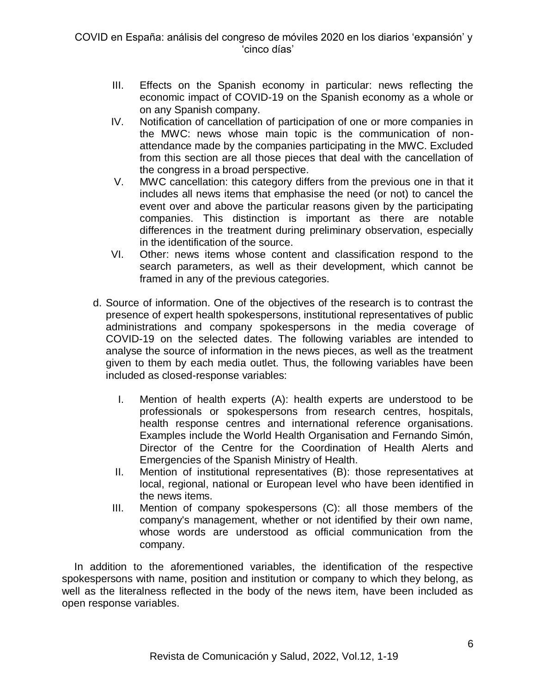- III. Effects on the Spanish economy in particular: news reflecting the economic impact of COVID-19 on the Spanish economy as a whole or on any Spanish company.
- IV. Notification of cancellation of participation of one or more companies in the MWC: news whose main topic is the communication of nonattendance made by the companies participating in the MWC. Excluded from this section are all those pieces that deal with the cancellation of the congress in a broad perspective.
- V. MWC cancellation: this category differs from the previous one in that it includes all news items that emphasise the need (or not) to cancel the event over and above the particular reasons given by the participating companies. This distinction is important as there are notable differences in the treatment during preliminary observation, especially in the identification of the source.
- VI. Other: news items whose content and classification respond to the search parameters, as well as their development, which cannot be framed in any of the previous categories.
- d. Source of information. One of the objectives of the research is to contrast the presence of expert health spokespersons, institutional representatives of public administrations and company spokespersons in the media coverage of COVID-19 on the selected dates. The following variables are intended to analyse the source of information in the news pieces, as well as the treatment given to them by each media outlet. Thus, the following variables have been included as closed-response variables:
	- I. Mention of health experts (A): health experts are understood to be professionals or spokespersons from research centres, hospitals, health response centres and international reference organisations. Examples include the World Health Organisation and Fernando Simón, Director of the Centre for the Coordination of Health Alerts and Emergencies of the Spanish Ministry of Health.
	- II. Mention of institutional representatives (B): those representatives at local, regional, national or European level who have been identified in the news items.
	- III. Mention of company spokespersons (C): all those members of the company's management, whether or not identified by their own name, whose words are understood as official communication from the company.

In addition to the aforementioned variables, the identification of the respective spokespersons with name, position and institution or company to which they belong, as well as the literalness reflected in the body of the news item, have been included as open response variables.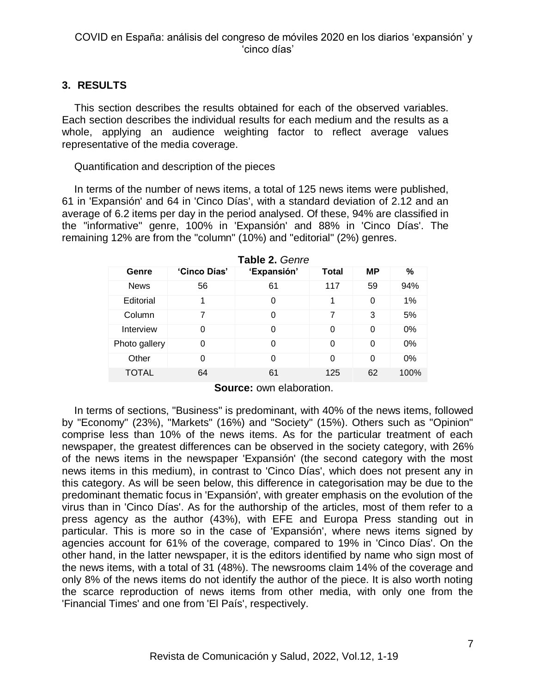## **3. RESULTS**

This section describes the results obtained for each of the observed variables. Each section describes the individual results for each medium and the results as a whole, applying an audience weighting factor to reflect average values representative of the media coverage.

Quantification and description of the pieces

In terms of the number of news items, a total of 125 news items were published, 61 in 'Expansión' and 64 in 'Cinco Días', with a standard deviation of 2.12 and an average of 6.2 items per day in the period analysed. Of these, 94% are classified in the "informative" genre, 100% in 'Expansión' and 88% in 'Cinco Días'. The remaining 12% are from the "column" (10%) and "editorial" (2%) genres.

| Genre         | 'Cinco Días' | 'Expansión' | <b>Total</b> | <b>MP</b> | %     |
|---------------|--------------|-------------|--------------|-----------|-------|
| <b>News</b>   | 56           | 61          | 117          | 59        | 94%   |
| Editorial     | 1            | 0           | 1            | 0         | 1%    |
| Column        | 7            | 0           | 7            | 3         | 5%    |
| Interview     | 0            | 0           | 0            | 0         | 0%    |
| Photo gallery | 0            | 0           | 0            | 0         | $0\%$ |
| Other         | 0            | $\Omega$    | 0            | 0         | $0\%$ |
| <b>TOTAL</b>  | 64           | 61          | 125          | 62        | 100%  |

**Table 2.** *Genre*

**Source:** own elaboration.

In terms of sections, "Business" is predominant, with 40% of the news items, followed by "Economy" (23%), "Markets" (16%) and "Society" (15%). Others such as "Opinion" comprise less than 10% of the news items. As for the particular treatment of each newspaper, the greatest differences can be observed in the society category, with 26% of the news items in the newspaper 'Expansión' (the second category with the most news items in this medium), in contrast to 'Cinco Días', which does not present any in this category. As will be seen below, this difference in categorisation may be due to the predominant thematic focus in 'Expansión', with greater emphasis on the evolution of the virus than in 'Cinco Días'. As for the authorship of the articles, most of them refer to a press agency as the author (43%), with EFE and Europa Press standing out in particular. This is more so in the case of 'Expansión', where news items signed by agencies account for 61% of the coverage, compared to 19% in 'Cinco Días'. On the other hand, in the latter newspaper, it is the editors identified by name who sign most of the news items, with a total of 31 (48%). The newsrooms claim 14% of the coverage and only 8% of the news items do not identify the author of the piece. It is also worth noting the scarce reproduction of news items from other media, with only one from the 'Financial Times' and one from 'El País', respectively.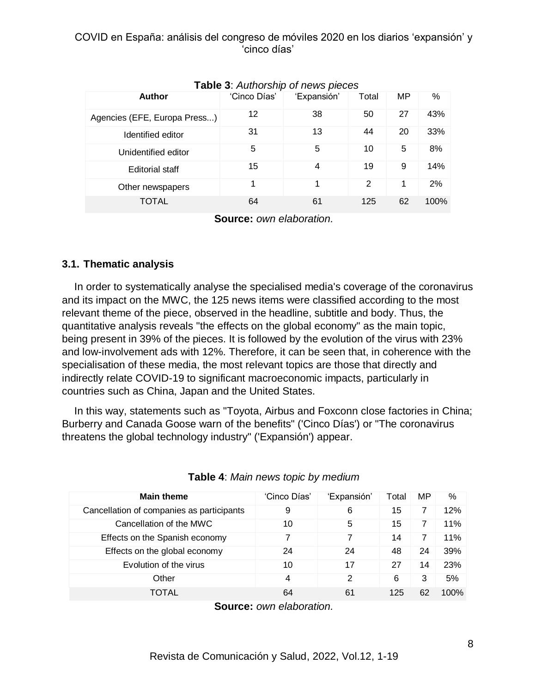| <b>Author</b>                | 'Cinco Días' | 'Expansión' | Total | MP | %    |
|------------------------------|--------------|-------------|-------|----|------|
| Agencies (EFE, Europa Press) | 12           | 38          | 50    | 27 | 43%  |
| Identified editor            | 31           | 13          | 44    | 20 | 33%  |
| Unidentified editor          | 5            | 5           | 10    | 5  | 8%   |
| <b>Editorial staff</b>       | 15           | 4           | 19    | 9  | 14%  |
| Other newspapers             | 1            |             | 2     | 1  | 2%   |
| TOTAL                        | 64           | 61          | 125   | 62 | 100% |

### **Table 3**: *Authorship of news pieces*

**Source:** *own elaboration.*

## **3.1. Thematic analysis**

In order to systematically analyse the specialised media's coverage of the coronavirus and its impact on the MWC, the 125 news items were classified according to the most relevant theme of the piece, observed in the headline, subtitle and body. Thus, the quantitative analysis reveals "the effects on the global economy" as the main topic, being present in 39% of the pieces. It is followed by the evolution of the virus with 23% and low-involvement ads with 12%. Therefore, it can be seen that, in coherence with the specialisation of these media, the most relevant topics are those that directly and indirectly relate COVID-19 to significant macroeconomic impacts, particularly in countries such as China, Japan and the United States.

In this way, statements such as "Toyota, Airbus and Foxconn close factories in China; Burberry and Canada Goose warn of the benefits" ('Cinco Días') or "The coronavirus threatens the global technology industry" ('Expansión') appear.

| <b>Main theme</b>                         | 'Cinco Días' | 'Expansión' | Total | MP | %    |
|-------------------------------------------|--------------|-------------|-------|----|------|
| Cancellation of companies as participants | 9            | 6           | 15    |    | 12%  |
| Cancellation of the MWC                   | 10           | 5           | 15    |    | 11%  |
| Effects on the Spanish economy            |              |             | 14    |    | 11%  |
| Effects on the global economy             | 24           | 24          | 48    | 24 | 39%  |
| Evolution of the virus                    | 10           | 17          | 27    | 14 | 23%  |
| Other                                     | 4            | 2           | 6     | 3  | 5%   |
| TOTAL                                     | 64           | 61          | 125   | 62 | 100% |
|                                           |              |             |       |    |      |

| Table 4: Main news topic by medium |  |
|------------------------------------|--|
|------------------------------------|--|

**Source:** *own elaboration.*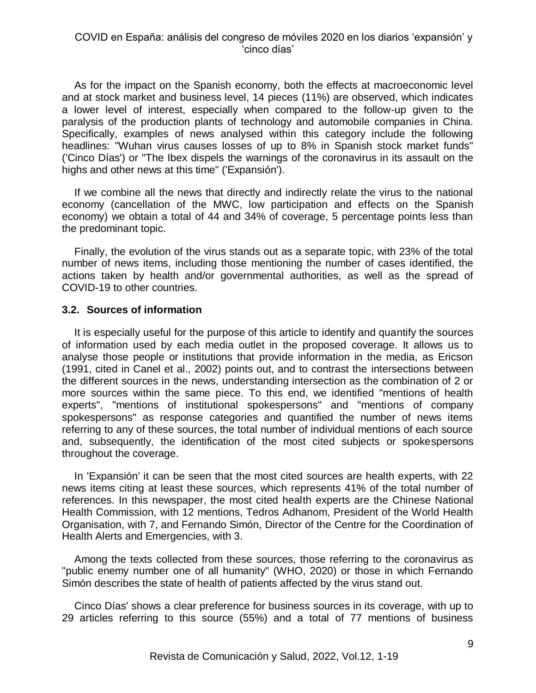As for the impact on the Spanish economy, both the effects at macroeconomic level and at stock market and business level, 14 pieces (11%) are observed, which indicates a lower level of interest, especially when compared to the follow-up given to the paralysis of the production plants of technology and automobile companies in China. Specifically, examples of news analysed within this category include the following headlines: "Wuhan virus causes losses of up to 8% in Spanish stock market funds" ('Cinco Días') or "The Ibex dispels the warnings of the coronavirus in its assault on the highs and other news at this time" ('Expansión').

If we combine all the news that directly and indirectly relate the virus to the national economy (cancellation of the MWC, low participation and effects on the Spanish economy) we obtain a total of 44 and 34% of coverage, 5 percentage points less than the predominant topic.

Finally, the evolution of the virus stands out as a separate topic, with 23% of the total number of news items, including those mentioning the number of cases identified, the actions taken by health and/or governmental authorities, as well as the spread of COVID-19 to other countries.

#### **3.2. Sources of information**

It is especially useful for the purpose of this article to identify and quantify the sources of information used by each media outlet in the proposed coverage. It allows us to analyse those people or institutions that provide information in the media, as Ericson (1991, cited in Canel et al., 2002) points out, and to contrast the intersections between the different sources in the news, understanding intersection as the combination of 2 or more sources within the same piece. To this end, we identified "mentions of health experts", "mentions of institutional spokespersons" and "mentions of company spokespersons" as response categories and quantified the number of news items referring to any of these sources, the total number of individual mentions of each source and, subsequently, the identification of the most cited subjects or spokespersons throughout the coverage.

In 'Expansión' it can be seen that the most cited sources are health experts, with 22 news items citing at least these sources, which represents 41% of the total number of references. In this newspaper, the most cited health experts are the Chinese National Health Commission, with 12 mentions, Tedros Adhanom, President of the World Health Organisation, with 7, and Fernando Simón, Director of the Centre for the Coordination of Health Alerts and Emergencies, with 3.

Among the texts collected from these sources, those referring to the coronavirus as "public enemy number one of all humanity" (WHO, 2020) or those in which Fernando Simón describes the state of health of patients affected by the virus stand out.

Cinco Días' shows a clear preference for business sources in its coverage, with up to 29 articles referring to this source (55%) and a total of 77 mentions of business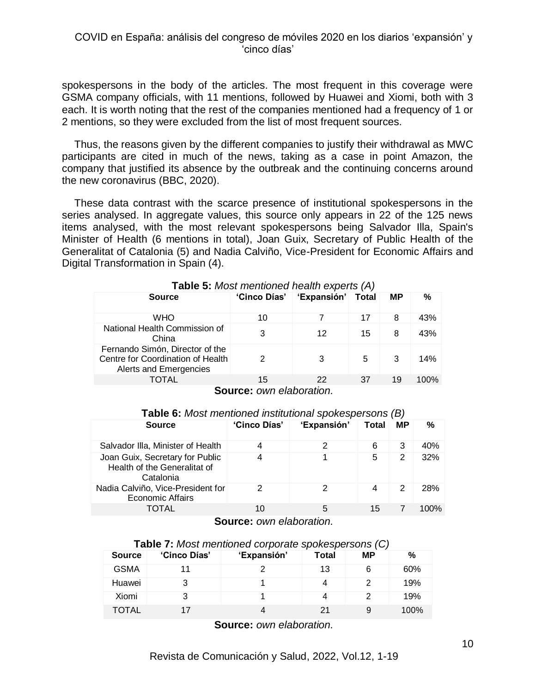spokespersons in the body of the articles. The most frequent in this coverage were GSMA company officials, with 11 mentions, followed by Huawei and Xiomi, both with 3 each. It is worth noting that the rest of the companies mentioned had a frequency of 1 or 2 mentions, so they were excluded from the list of most frequent sources.

Thus, the reasons given by the different companies to justify their withdrawal as MWC participants are cited in much of the news, taking as a case in point Amazon, the company that justified its absence by the outbreak and the continuing concerns around the new coronavirus (BBC, 2020).

These data contrast with the scarce presence of institutional spokespersons in the series analysed. In aggregate values, this source only appears in 22 of the 125 news items analysed, with the most relevant spokespersons being Salvador Illa, Spain's Minister of Health (6 mentions in total), Joan Guix, Secretary of Public Health of the Generalitat of Catalonia (5) and Nadia Calviño, Vice-President for Economic Affairs and Digital Transformation in Spain (4).

| <b>Source</b>                                                                                  | 'Cinco Días' | 'Expansión' | <b>Total</b> | <b>MP</b> | %    |
|------------------------------------------------------------------------------------------------|--------------|-------------|--------------|-----------|------|
|                                                                                                |              |             |              |           |      |
| WHO                                                                                            | 10           |             | 17           | 8         | 43%  |
| National Health Commission of<br>China                                                         | 3            | 12          | 15           | 8         | 43%  |
| Fernando Simón, Director of the<br>Centre for Coordination of Health<br>Alerts and Emergencies | 2            | 3           | 5            | 3         | 14%  |
| <b>TOTAL</b>                                                                                   | 15           | 22          | 37           | 19        | 100% |
| -                                                                                              |              | . .<br>. .  |              |           |      |

| <b>Table 5:</b> Most mentioned health experts (A) |          |   |
|---------------------------------------------------|----------|---|
|                                                   | ________ | . |

| <b>Source:</b> own elaboration. |
|---------------------------------|
|---------------------------------|

| <b>Table 0.</b> MOSt MICHIONICO INSINUIDHO IQ SPONCSPCTSONS (D)              |              |             |              |           |      |
|------------------------------------------------------------------------------|--------------|-------------|--------------|-----------|------|
| <b>Source</b>                                                                | 'Cinco Días' | 'Expansión' | <b>Total</b> | <b>MP</b> | %    |
| Salvador Illa, Minister of Health                                            |              | 2           | 6            | 3         | 40%  |
| Joan Guix, Secretary for Public<br>Health of the Generalitat of<br>Catalonia |              |             | 5            | 2         | 32%  |
| Nadia Calviño, Vice-President for<br><b>Economic Affairs</b>                 | 2            | 2           | 4            | 2         | 28%  |
| TOTAL                                                                        | 10           | 5           | 15           |           | 100% |
|                                                                              |              |             |              |           |      |

**Table 6:** *Most mentioned institutional spokespersons (B)*

# **Source:** *own elaboration.*

**Table 7:** *Most mentioned corporate spokespersons (C)*

| <b>Source</b> | 'Cinco Días' | 'Expansión' | Total | <b>MP</b> | %    |
|---------------|--------------|-------------|-------|-----------|------|
| <b>GSMA</b>   |              |             | 13    | 6         | 60%  |
| Huawei        |              |             | 4     |           | 19%  |
| Xiomi         |              |             | 4     |           | 19%  |
| TOTAL         |              | 4           | 21    | 9         | 100% |

**Source:** *own elaboration.*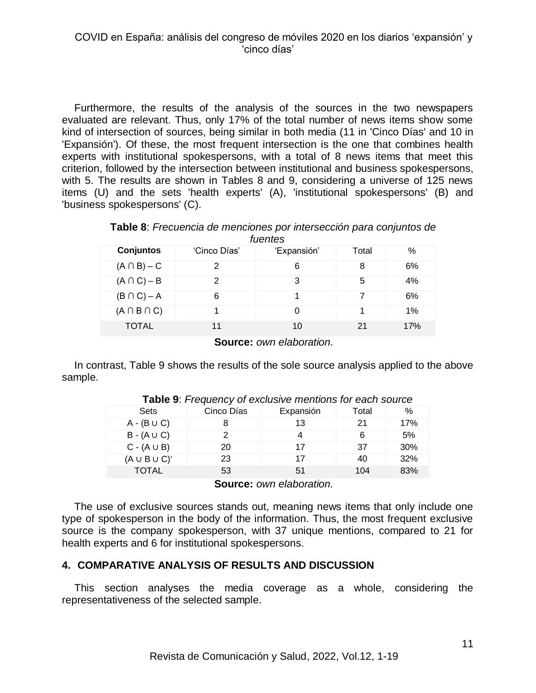Furthermore, the results of the analysis of the sources in the two newspapers evaluated are relevant. Thus, only 17% of the total number of news items show some kind of intersection of sources, being similar in both media (11 in 'Cinco Días' and 10 in 'Expansión'). Of these, the most frequent intersection is the one that combines health experts with institutional spokespersons, with a total of 8 news items that meet this criterion, followed by the intersection between institutional and business spokespersons, with 5. The results are shown in Tables 8 and 9, considering a universe of 125 news items (U) and the sets 'health experts' (A), 'institutional spokespersons' (B) and 'business spokespersons' (C).

| Table 8: Frecuencia de menciones por intersección para conjuntos de |
|---------------------------------------------------------------------|
| fuentes                                                             |

| <b>Conjuntos</b>    | 'Cinco Días' | 'Expansión' | Total | %   |
|---------------------|--------------|-------------|-------|-----|
| $(A \cap B) - C$    | 2            | 6           | 8     | 6%  |
| $(A \cap C) - B$    | 2            | 3           | 5     | 4%  |
| $(B \cap C) - A$    | 6            |             |       | 6%  |
| $(A \cap B \cap C)$ |              |             |       | 1%  |
| <b>TOTAL</b>        | 11           | 10          | 21    | 17% |

**Source:** *own elaboration.*

In contrast, Table 9 shows the results of the sole source analysis applied to the above sample.

| <b>Sets</b>          | Cinco Días | Expansión | Total | $\%$ |
|----------------------|------------|-----------|-------|------|
| $A - (B \cup C)$     |            | 13        | 21    | 17%  |
| $B - (A \cup C)$     |            |           | 6     | 5%   |
| $C - (A \cup B)$     | 20         | 17        | 37    | 30%  |
| $(A \cup B \cup C)'$ | 23         | 17        | 40    | 32%  |
| <b>TOTAL</b>         | 53         | 51        | 104   | 83%  |

**Table 9**: *Frequency of exclusive mentions for each source*

**Source:** *own elaboration.*

The use of exclusive sources stands out, meaning news items that only include one type of spokesperson in the body of the information. Thus, the most frequent exclusive source is the company spokesperson, with 37 unique mentions, compared to 21 for health experts and 6 for institutional spokespersons.

#### **4. COMPARATIVE ANALYSIS OF RESULTS AND DISCUSSION**

This section analyses the media coverage as a whole, considering the representativeness of the selected sample.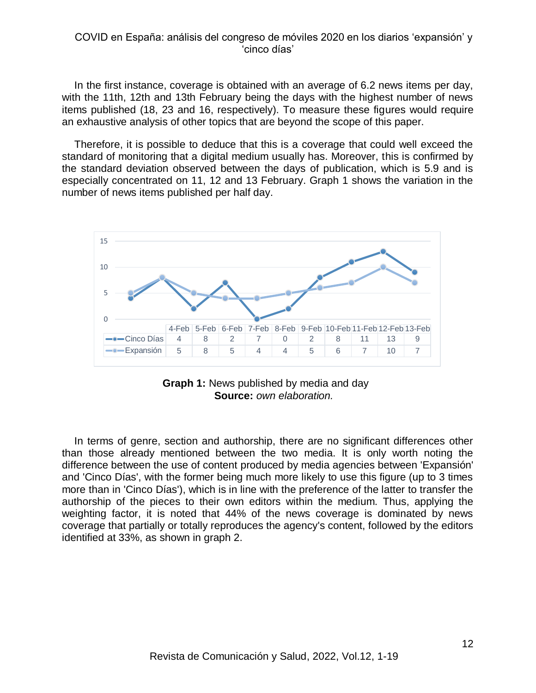In the first instance, coverage is obtained with an average of 6.2 news items per day, with the 11th, 12th and 13th February being the days with the highest number of news items published (18, 23 and 16, respectively). To measure these figures would require an exhaustive analysis of other topics that are beyond the scope of this paper.

Therefore, it is possible to deduce that this is a coverage that could well exceed the standard of monitoring that a digital medium usually has. Moreover, this is confirmed by the standard deviation observed between the days of publication, which is 5.9 and is especially concentrated on 11, 12 and 13 February. Graph 1 shows the variation in the number of news items published per half day.





In terms of genre, section and authorship, there are no significant differences other than those already mentioned between the two media. It is only worth noting the difference between the use of content produced by media agencies between 'Expansión' and 'Cinco Días', with the former being much more likely to use this figure (up to 3 times more than in 'Cinco Días'), which is in line with the preference of the latter to transfer the authorship of the pieces to their own editors within the medium. Thus, applying the weighting factor, it is noted that 44% of the news coverage is dominated by news coverage that partially or totally reproduces the agency's content, followed by the editors identified at 33%, as shown in graph 2.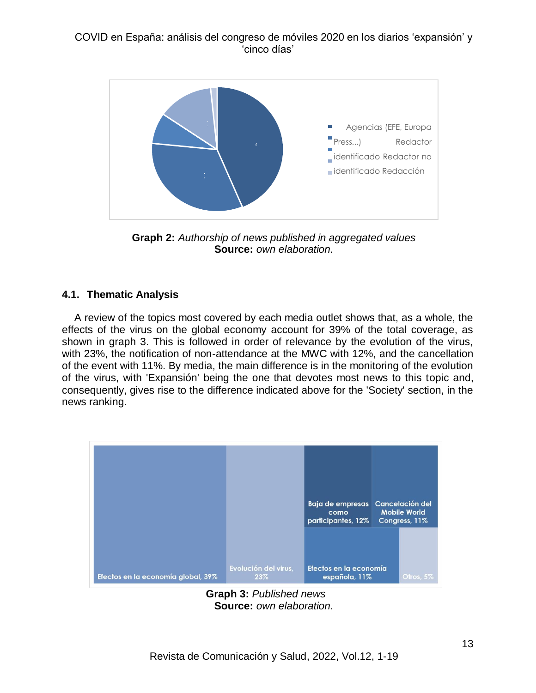

**Graph 2:** *Authorship of news published in aggregated values* **Source:** *own elaboration.*

## **4.1. Thematic Analysis**

A review of the topics most covered by each media outlet shows that, as a whole, the effects of the virus on the global economy account for 39% of the total coverage, as shown in graph 3. This is followed in order of relevance by the evolution of the virus, with 23%, the notification of non-attendance at the MWC with 12%, and the cancellation of the event with 11%. By media, the main difference is in the monitoring of the evolution of the virus, with 'Expansión' being the one that devotes most news to this topic and, consequently, gives rise to the difference indicated above for the 'Society' section, in the news ranking.



**Graph 3:** *Published news* **Source:** *own elaboration.*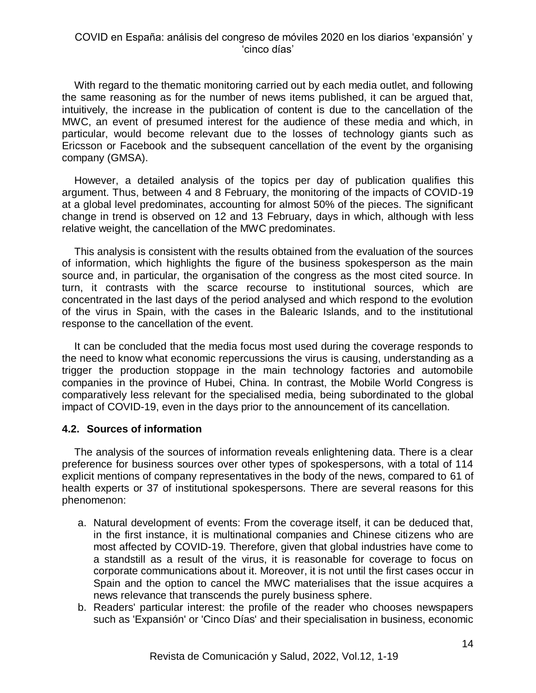With regard to the thematic monitoring carried out by each media outlet, and following the same reasoning as for the number of news items published, it can be argued that, intuitively, the increase in the publication of content is due to the cancellation of the MWC, an event of presumed interest for the audience of these media and which, in particular, would become relevant due to the losses of technology giants such as Ericsson or Facebook and the subsequent cancellation of the event by the organising company (GMSA).

However, a detailed analysis of the topics per day of publication qualifies this argument. Thus, between 4 and 8 February, the monitoring of the impacts of COVID-19 at a global level predominates, accounting for almost 50% of the pieces. The significant change in trend is observed on 12 and 13 February, days in which, although with less relative weight, the cancellation of the MWC predominates.

This analysis is consistent with the results obtained from the evaluation of the sources of information, which highlights the figure of the business spokesperson as the main source and, in particular, the organisation of the congress as the most cited source. In turn, it contrasts with the scarce recourse to institutional sources, which are concentrated in the last days of the period analysed and which respond to the evolution of the virus in Spain, with the cases in the Balearic Islands, and to the institutional response to the cancellation of the event.

It can be concluded that the media focus most used during the coverage responds to the need to know what economic repercussions the virus is causing, understanding as a trigger the production stoppage in the main technology factories and automobile companies in the province of Hubei, China. In contrast, the Mobile World Congress is comparatively less relevant for the specialised media, being subordinated to the global impact of COVID-19, even in the days prior to the announcement of its cancellation.

#### **4.2. Sources of information**

The analysis of the sources of information reveals enlightening data. There is a clear preference for business sources over other types of spokespersons, with a total of 114 explicit mentions of company representatives in the body of the news, compared to 61 of health experts or 37 of institutional spokespersons. There are several reasons for this phenomenon:

- a. Natural development of events: From the coverage itself, it can be deduced that, in the first instance, it is multinational companies and Chinese citizens who are most affected by COVID-19. Therefore, given that global industries have come to a standstill as a result of the virus, it is reasonable for coverage to focus on corporate communications about it. Moreover, it is not until the first cases occur in Spain and the option to cancel the MWC materialises that the issue acquires a news relevance that transcends the purely business sphere.
- b. Readers' particular interest: the profile of the reader who chooses newspapers such as 'Expansión' or 'Cinco Días' and their specialisation in business, economic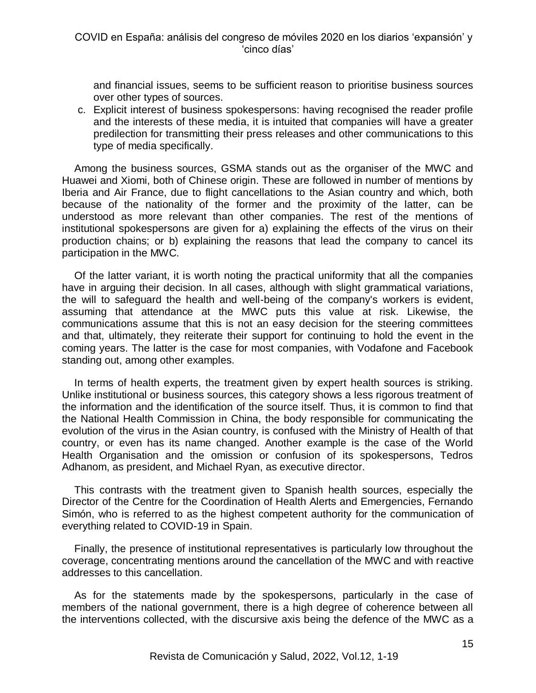and financial issues, seems to be sufficient reason to prioritise business sources over other types of sources.

c. Explicit interest of business spokespersons: having recognised the reader profile and the interests of these media, it is intuited that companies will have a greater predilection for transmitting their press releases and other communications to this type of media specifically.

Among the business sources, GSMA stands out as the organiser of the MWC and Huawei and Xiomi, both of Chinese origin. These are followed in number of mentions by Iberia and Air France, due to flight cancellations to the Asian country and which, both because of the nationality of the former and the proximity of the latter, can be understood as more relevant than other companies. The rest of the mentions of institutional spokespersons are given for a) explaining the effects of the virus on their production chains; or b) explaining the reasons that lead the company to cancel its participation in the MWC.

Of the latter variant, it is worth noting the practical uniformity that all the companies have in arguing their decision. In all cases, although with slight grammatical variations, the will to safeguard the health and well-being of the company's workers is evident, assuming that attendance at the MWC puts this value at risk. Likewise, the communications assume that this is not an easy decision for the steering committees and that, ultimately, they reiterate their support for continuing to hold the event in the coming years. The latter is the case for most companies, with Vodafone and Facebook standing out, among other examples.

In terms of health experts, the treatment given by expert health sources is striking. Unlike institutional or business sources, this category shows a less rigorous treatment of the information and the identification of the source itself. Thus, it is common to find that the National Health Commission in China, the body responsible for communicating the evolution of the virus in the Asian country, is confused with the Ministry of Health of that country, or even has its name changed. Another example is the case of the World Health Organisation and the omission or confusion of its spokespersons, Tedros Adhanom, as president, and Michael Ryan, as executive director.

This contrasts with the treatment given to Spanish health sources, especially the Director of the Centre for the Coordination of Health Alerts and Emergencies, Fernando Simón, who is referred to as the highest competent authority for the communication of everything related to COVID-19 in Spain.

Finally, the presence of institutional representatives is particularly low throughout the coverage, concentrating mentions around the cancellation of the MWC and with reactive addresses to this cancellation.

As for the statements made by the spokespersons, particularly in the case of members of the national government, there is a high degree of coherence between all the interventions collected, with the discursive axis being the defence of the MWC as a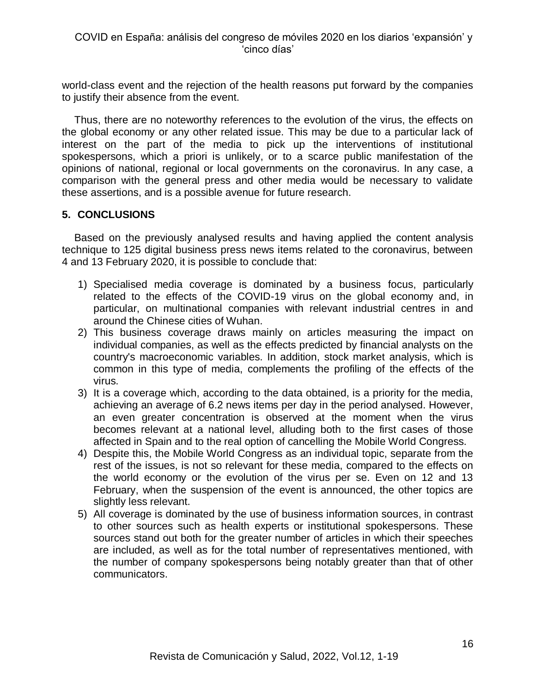world-class event and the rejection of the health reasons put forward by the companies to justify their absence from the event.

Thus, there are no noteworthy references to the evolution of the virus, the effects on the global economy or any other related issue. This may be due to a particular lack of interest on the part of the media to pick up the interventions of institutional spokespersons, which a priori is unlikely, or to a scarce public manifestation of the opinions of national, regional or local governments on the coronavirus. In any case, a comparison with the general press and other media would be necessary to validate these assertions, and is a possible avenue for future research.

#### **5. CONCLUSIONS**

Based on the previously analysed results and having applied the content analysis technique to 125 digital business press news items related to the coronavirus, between 4 and 13 February 2020, it is possible to conclude that:

- 1) Specialised media coverage is dominated by a business focus, particularly related to the effects of the COVID-19 virus on the global economy and, in particular, on multinational companies with relevant industrial centres in and around the Chinese cities of Wuhan.
- 2) This business coverage draws mainly on articles measuring the impact on individual companies, as well as the effects predicted by financial analysts on the country's macroeconomic variables. In addition, stock market analysis, which is common in this type of media, complements the profiling of the effects of the virus.
- 3) It is a coverage which, according to the data obtained, is a priority for the media, achieving an average of 6.2 news items per day in the period analysed. However, an even greater concentration is observed at the moment when the virus becomes relevant at a national level, alluding both to the first cases of those affected in Spain and to the real option of cancelling the Mobile World Congress.
- 4) Despite this, the Mobile World Congress as an individual topic, separate from the rest of the issues, is not so relevant for these media, compared to the effects on the world economy or the evolution of the virus per se. Even on 12 and 13 February, when the suspension of the event is announced, the other topics are slightly less relevant.
- 5) All coverage is dominated by the use of business information sources, in contrast to other sources such as health experts or institutional spokespersons. These sources stand out both for the greater number of articles in which their speeches are included, as well as for the total number of representatives mentioned, with the number of company spokespersons being notably greater than that of other communicators.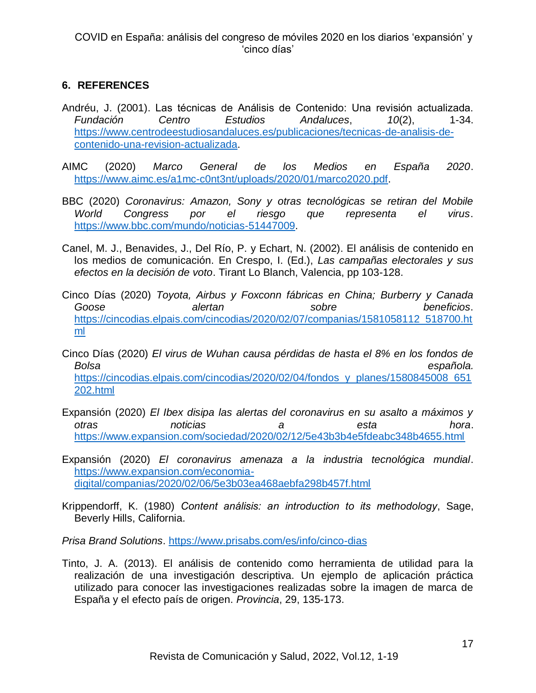# **6. REFERENCES**

- Andréu, J. (2001). Las técnicas de Análisis de Contenido: Una revisión actualizada. *Fundación Centro Estudios Andaluces*, *10*(2), 1-34. [https://www.centrodeestudiosandaluces.es/publicaciones/tecnicas-de-analisis-de](https://www.centrodeestudiosandaluces.es/publicaciones/tecnicas-de-analisis-de-contenido-una-revision-actualizada)[contenido-una-revision-actualizada.](https://www.centrodeestudiosandaluces.es/publicaciones/tecnicas-de-analisis-de-contenido-una-revision-actualizada)
- AIMC (2020) *Marco General de los Medios en España 2020*. [https://www.aimc.es/a1mc-c0nt3nt/uploads/2020/01/marco2020.pdf.](https://www.aimc.es/a1mc-c0nt3nt/uploads/2020/01/marco2020.pdf)
- BBC (2020) *Coronavirus: Amazon, Sony y otras tecnológicas se retiran del Mobile World Congress por el riesgo que representa el virus*. [https://www.bbc.com/mundo/noticias-51447009.](https://www.bbc.com/mundo/noticias-51447009)
- Canel, M. J., Benavides, J., Del Río, P. y Echart, N. (2002). El análisis de contenido en los medios de comunicación. En Crespo, I. (Ed.), *Las campañas electorales y sus efectos en la decisión de voto*. Tirant Lo Blanch, Valencia, pp 103-128.
- Cinco Días (2020) *Toyota, Airbus y Foxconn fábricas en China; Burberry y Canada Goose alertan sobre beneficios*. [https://cincodias.elpais.com/cincodias/2020/02/07/companias/1581058112\\_518700.ht](https://cincodias.elpais.com/cincodias/2020/02/07/companias/1581058112_518700.html) [ml](https://cincodias.elpais.com/cincodias/2020/02/07/companias/1581058112_518700.html)
- Cinco Días (2020) *El virus de Wuhan causa pérdidas de hasta el 8% en los fondos de Bolsa española.* [https://cincodias.elpais.com/cincodias/2020/02/04/fondos\\_y\\_planes/1580845008\\_651](https://cincodias.elpais.com/cincodias/2020/02/04/fondos_y_planes/1580845008_651202.html) [202.html](https://cincodias.elpais.com/cincodias/2020/02/04/fondos_y_planes/1580845008_651202.html)
- Expansión (2020) *El Ibex disipa las alertas del coronavirus en su asalto a máximos y otras noticias a esta hora*. <https://www.expansion.com/sociedad/2020/02/12/5e43b3b4e5fdeabc348b4655.html>
- Expansión (2020) *El coronavirus amenaza a la industria tecnológica mundial*. [https://www.expansion.com/economia](https://www.expansion.com/economia-digital/companias/2020/02/06/5e3b03ea468aebfa298b457f.html)[digital/companias/2020/02/06/5e3b03ea468aebfa298b457f.html](https://www.expansion.com/economia-digital/companias/2020/02/06/5e3b03ea468aebfa298b457f.html)
- Krippendorff, K. (1980) *Content análisis: an introduction to its methodology*, Sage, Beverly Hills, California.

*Prisa Brand Solutions*.<https://www.prisabs.com/es/info/cinco-dias>

Tinto, J. A. (2013). El análisis de contenido como herramienta de utilidad para la realización de una investigación descriptiva. Un ejemplo de aplicación práctica utilizado para conocer las investigaciones realizadas sobre la imagen de marca de España y el efecto país de origen. *Provincia*, 29, 135-173.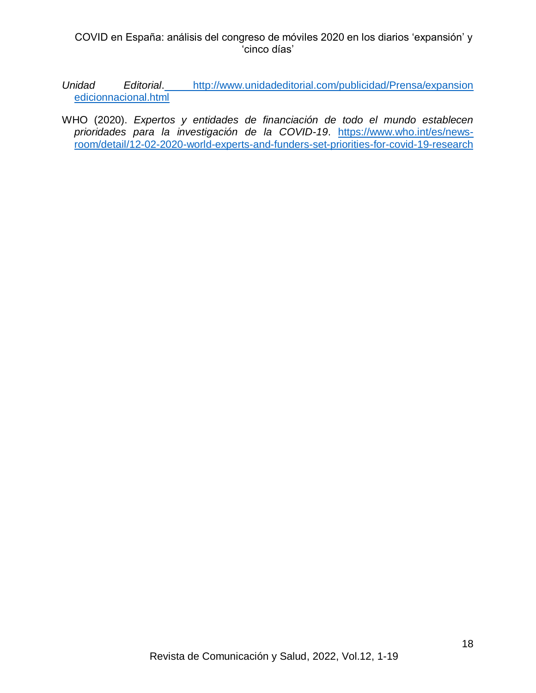- *Unidad Editorial*. [http://www.unidadeditorial.com/publicidad/Prensa/expansion](http://www.unidadeditorial.com/publicidad/Prensa/expansion%20edicionnacional.html)  [edicionnacional.html](http://www.unidadeditorial.com/publicidad/Prensa/expansion%20edicionnacional.html)
- WHO (2020). *Expertos y entidades de financiación de todo el mundo establecen prioridades para la investigación de la COVID-19*. [https://www.who.int/es/news](https://www.who.int/es/news-room/detail/12-02-2020-world-experts-and-funders-set-priorities-for-covid-19-research)[room/detail/12-02-2020-world-experts-and-funders-set-priorities-for-covid-19-research](https://www.who.int/es/news-room/detail/12-02-2020-world-experts-and-funders-set-priorities-for-covid-19-research)